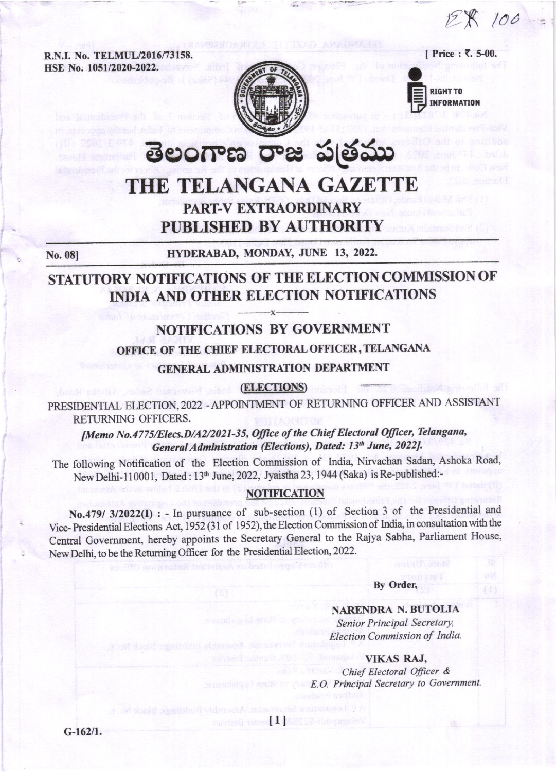12 R 100

R.N.I. No. TELMUL/2016/73158. HSE No. 1051/2020-2022.



**RIGHT TO INFORMATION** 

[ Price : ₹, 5-00.

తెలంగాణ రాజ పత్రము THE TELANGANA GAZETTE PART-V EXTRAORDINARY PUBLISHED BY AUTHORITY

No. 08]

HYDERABAD, MONDAY, JUNE 13, 2022.

# STATUTORY NOTIFICATIONS OF THE ELECTION COMMISSION OF INDIA AND OTHER ELECTION NOTIFICATIONS

# **NOTIFICATIONS BY GOVERNMENT**

OFFICE OF THE CHIEF ELECTORAL OFFICER, TELANGANA

**GENERAL ADMINISTRATION DEPARTMENT** 

# (ELECTIONS)

PRESIDENTIAL ELECTION, 2022 - APPOINTMENT OF RETURNING OFFICER AND ASSISTANT RETURNING OFFICERS.

[Memo No.4775/Elecs.D/A2/2021-35, Office of the Chief Electoral Officer, Telangana, General Administration (Elections), Dated: 13th June, 2022].

The following Notification of the Election Commission of India, Nirvachan Sadan, Ashoka Road, New Delhi-110001, Dated: 13th June, 2022, Jyaistha 23, 1944 (Saka) is Re-published:-

#### **NOTIFICATION**

No.479/ 3/2022(I) : - In pursuance of sub-section (1) of Section 3 of the Presidential and Vice-Presidential Elections Act, 1952 (31 of 1952), the Election Commission of India, in consultation with the Central Government, hereby appoints the Secretary General to the Rajya Sabha, Parliament House, New Delhi, to be the Returning Officer for the Presidential Election, 2022.

#### By Order.

**NARENDRA N. BUTOLIA** Senior Principal Secretary, Election Commission of India.

**VIKAS RAJ,** 

Chief Electoral Officer & E.O. Principal Secretary to Government.

sepadi-S222-11 annun District